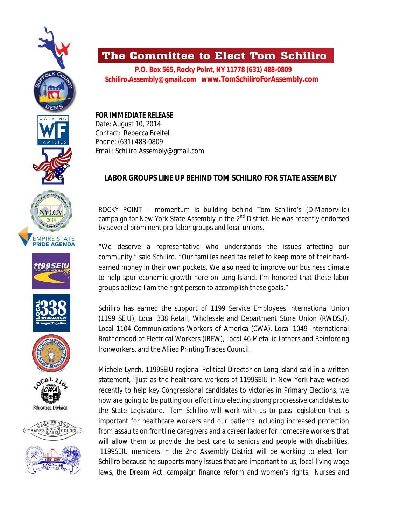













## The Committee to Elect Tom Schiliro

 **P.O. Box 565, Rocky Point, NY 11778 (631) 488-0809 Schiliro.Assembly@gmail.com www.TomSchiliroForAssembly.com**

**FOR IMMEDIATE RELEASE** Date: August 10, 2014 Contact: Rebecca Breitel Phone: (631) 488-0809 Email: Schiliro.Assembly@gmail.com

## **LABOR GROUPS LINE UP BEHIND TOM SCHILIRO FOR STATE ASSEMBLY**

ROCKY POINT – momentum is building behind Tom Schiliro's (D-Manorville) campaign for New York State Assembly in the  $2^{nd}$  District. He was recently endorsed by several prominent pro-labor groups and local unions.

"We deserve a representative who understands the issues affecting our community," said Schiliro. "Our families need tax relief to keep more of their hardearned money in their own pockets. We also need to improve our business climate to help spur economic growth here on Long Island. I'm honored that these labor groups believe I am the right person to accomplish these goals."

Schiliro has earned the support of 1199 Service Employees International Union (1199 SEIU), Local 338 Retail, Wholesale and Department Store Union (RWDSU), Local 1104 Communications Workers of America (CWA), Local 1049 International Brotherhood of Electrical Workers (IBEW), Local 46 Metallic Lathers and Reinforcing Ironworkers, and the Allied Printing Trades Council.

Michele Lynch, 1199SEIU regional Political Director on Long Island said in a written statement, "Just as the healthcare workers of 1199SEIU in New York have worked recently to help key Congressional candidates to victories in Primary Elections, we now are going to be putting our effort into electing strong progressive candidates to the State Legislature. Tom Schiliro will work with us to pass legislation that is important for healthcare workers and our patients including increased protection from assaults on frontline caregivers and a career ladder for homecare workers that will allow them to provide the best care to seniors and people with disabilities. 1199SEIU members in the 2nd Assembly District will be working to elect Tom Schiliro because he supports many issues that are important to us; local living wage laws, the Dream Act, campaign finance reform and women's rights. Nurses and